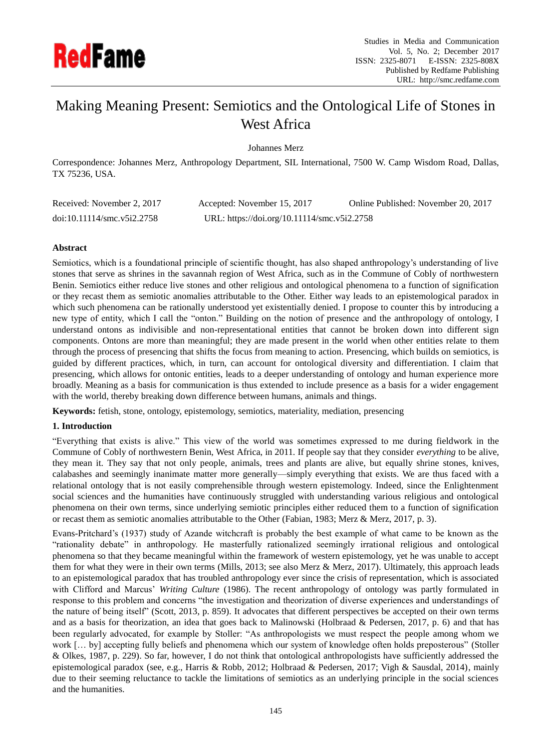

# Making Meaning Present: Semiotics and the Ontological Life of Stones in West Africa

Johannes Merz

Correspondence: Johannes Merz, Anthropology Department, SIL International, 7500 W. Camp Wisdom Road, Dallas, TX 75236, USA.

| Received: November 2, 2017                              | Accepted: November 15, 2017                 | Online Published: November 20, 2017 |
|---------------------------------------------------------|---------------------------------------------|-------------------------------------|
| $\text{doi:10.11114}/\text{smc} \cdot \text{v5i2}.2758$ | URL: https://doi.org/10.11114/smc.v5i2.2758 |                                     |

# **Abstract**

Semiotics, which is a foundational principle of scientific thought, has also shaped anthropology's understanding of live stones that serve as shrines in the savannah region of West Africa, such as in the Commune of Cobly of northwestern Benin. Semiotics either reduce live stones and other religious and ontological phenomena to a function of signification or they recast them as semiotic anomalies attributable to the Other. Either way leads to an epistemological paradox in which such phenomena can be rationally understood yet existentially denied. I propose to counter this by introducing a new type of entity, which I call the "onton." Building on the notion of presence and the anthropology of ontology, I understand ontons as indivisible and non-representational entities that cannot be broken down into different sign components. Ontons are more than meaningful; they are made present in the world when other entities relate to them through the process of presencing that shifts the focus from meaning to action. Presencing, which builds on semiotics, is guided by different practices, which, in turn, can account for ontological diversity and differentiation. I claim that presencing, which allows for ontonic entities, leads to a deeper understanding of ontology and human experience more broadly. Meaning as a basis for communication is thus extended to include presence as a basis for a wider engagement with the world, thereby breaking down difference between humans, animals and things.

**Keywords:** fetish, stone, ontology, epistemology, semiotics, materiality, mediation, presencing

## **1. Introduction**

"Everything that exists is alive." This view of the world was sometimes expressed to me during fieldwork in the Commune of Cobly of northwestern Benin, West Africa, in 2011. If people say that they consider *everything* to be alive, they mean it. They say that not only people, animals, trees and plants are alive, but equally shrine stones, knives, calabashes and seemingly inanimate matter more generally—simply everything that exists. We are thus faced with a relational ontology that is not easily comprehensible through western epistemology. Indeed, since the Enlightenment social sciences and the humanities have continuously struggled with understanding various religious and ontological phenomena on their own terms, since underlying semiotic principles either reduced them to a function of signification or recast them as semiotic anomalies attributable to the Other (Fabian, 1983; Merz & Merz, 2017, p. 3).

Evans-Pritchard's (1937) study of Azande witchcraft is probably the best example of what came to be known as the "rationality debate" in anthropology. He masterfully rationalized seemingly irrational religious and ontological phenomena so that they became meaningful within the framework of western epistemology, yet he was unable to accept them for what they were in their own terms (Mills, 2013; see also Merz & Merz, 2017). Ultimately, this approach leads to an epistemological paradox that has troubled anthropology ever since the crisis of representation, which is associated with Clifford and Marcus' *Writing Culture* (1986). The recent anthropology of ontology was partly formulated in response to this problem and concerns "the investigation and theorization of diverse experiences and understandings of the nature of being itself" (Scott, 2013, p. 859). It advocates that different perspectives be accepted on their own terms and as a basis for theorization, an idea that goes back to Malinowski (Holbraad & Pedersen, 2017, p. 6) and that has been regularly advocated, for example by Stoller: "As anthropologists we must respect the people among whom we work [... by] accepting fully beliefs and phenomena which our system of knowledge often holds preposterous" (Stoller & Olkes, 1987, p. 229). So far, however, I do not think that ontological anthropologists have sufficiently addressed the epistemological paradox (see, e.g., Harris & Robb, 2012; Holbraad & Pedersen, 2017; Vigh & Sausdal, 2014), mainly due to their seeming reluctance to tackle the limitations of semiotics as an underlying principle in the social sciences and the humanities.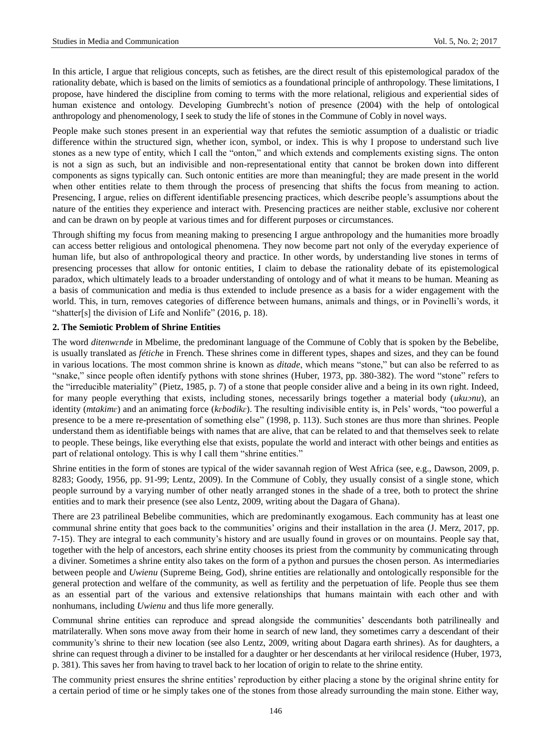In this article, I argue that religious concepts, such as fetishes, are the direct result of this epistemological paradox of the rationality debate, which is based on the limits of semiotics as a foundational principle of anthropology. These limitations, I propose, have hindered the discipline from coming to terms with the more relational, religious and experiential sides of human existence and ontology. Developing Gumbrecht's notion of presence (2004) with the help of ontological anthropology and phenomenology, I seek to study the life of stones in the Commune of Cobly in novel ways.

People make such stones present in an experiential way that refutes the semiotic assumption of a dualistic or triadic difference within the structured sign, whether icon, symbol, or index. This is why I propose to understand such live stones as a new type of entity, which I call the "onton," and which extends and complements existing signs. The onton is not a sign as such, but an indivisible and non-representational entity that cannot be broken down into different components as signs typically can. Such ontonic entities are more than meaningful; they are made present in the world when other entities relate to them through the process of presencing that shifts the focus from meaning to action. Presencing, I argue, relies on different identifiable presencing practices, which describe people's assumptions about the nature of the entities they experience and interact with. Presencing practices are neither stable, exclusive nor coherent and can be drawn on by people at various times and for different purposes or circumstances.

Through shifting my focus from meaning making to presencing I argue anthropology and the humanities more broadly can access better religious and ontological phenomena. They now become part not only of the everyday experience of human life, but also of anthropological theory and practice. In other words, by understanding live stones in terms of presencing processes that allow for ontonic entities, I claim to debase the rationality debate of its epistemological paradox, which ultimately leads to a broader understanding of ontology and of what it means to be human. Meaning as a basis of communication and media is thus extended to include presence as a basis for a wider engagement with the world. This, in turn, removes categories of difference between humans, animals and things, or in Povinelli's words, it "shatter[s] the division of Life and Nonlife" (2016, p. 18).

## **2. The Semiotic Problem of Shrine Entities**

The word *ditenwɛnde* in Mbelime, the predominant language of the Commune of Cobly that is spoken by the Bebelibe, is usually translated as *fétiche* in French. These shrines come in different types, shapes and sizes, and they can be found in various locations. The most common shrine is known as *ditade*, which means "stone," but can also be referred to as "snake," since people often identify pythons with stone shrines (Huber, 1973, pp. 380-382). The word "stone" refers to the "irreducible materiality" (Pietz, 1985, p. 7) of a stone that people consider alive and a being in its own right. Indeed, for many people everything that exists, including stones, necessarily brings together a material body (*ukuɔnu*), an identity (*mtakimɛ*) and an animating force (*kɛbodikɛ*). The resulting indivisible entity is, in Pels' words, "too powerful a presence to be a mere re-presentation of something else" (1998, p. 113). Such stones are thus more than shrines. People understand them as identifiable beings with names that are alive, that can be related to and that themselves seek to relate to people. These beings, like everything else that exists, populate the world and interact with other beings and entities as part of relational ontology. This is why I call them "shrine entities."

Shrine entities in the form of stones are typical of the wider savannah region of West Africa (see, e.g., Dawson, 2009, p. 8283; Goody, 1956, pp. 91-99; Lentz, 2009). In the Commune of Cobly, they usually consist of a single stone, which people surround by a varying number of other neatly arranged stones in the shade of a tree, both to protect the shrine entities and to mark their presence (see also Lentz, 2009, writing about the Dagara of Ghana).

There are 23 patrilineal Bebelibe communities, which are predominantly exogamous. Each community has at least one communal shrine entity that goes back to the communities' origins and their installation in the area (J. Merz, 2017, pp. 7-15). They are integral to each community's history and are usually found in groves or on mountains. People say that, together with the help of ancestors, each shrine entity chooses its priest from the community by communicating through a diviner. Sometimes a shrine entity also takes on the form of a python and pursues the chosen person. As intermediaries between people and *Uwienu* (Supreme Being, God), shrine entities are relationally and ontologically responsible for the general protection and welfare of the community, as well as fertility and the perpetuation of life. People thus see them as an essential part of the various and extensive relationships that humans maintain with each other and with nonhumans, including *Uwienu* and thus life more generally.

Communal shrine entities can reproduce and spread alongside the communities' descendants both patrilineally and matrilaterally. When sons move away from their home in search of new land, they sometimes carry a descendant of their community's shrine to their new location (see also Lentz, 2009, writing about Dagara earth shrines). As for daughters, a shrine can request through a diviner to be installed for a daughter or her descendants at her virilocal residence (Huber, 1973, p. 381). This saves her from having to travel back to her location of origin to relate to the shrine entity.

The community priest ensures the shrine entities' reproduction by either placing a stone by the original shrine entity for a certain period of time or he simply takes one of the stones from those already surrounding the main stone. Either way,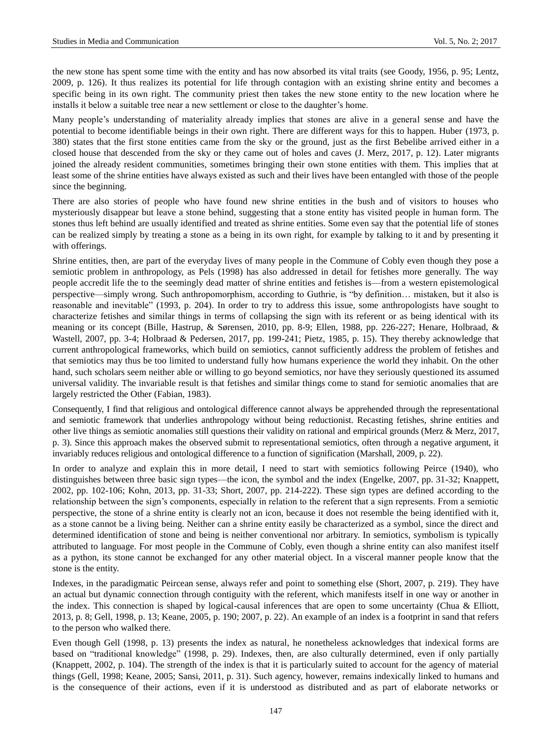the new stone has spent some time with the entity and has now absorbed its vital traits (see Goody, 1956, p. 95; Lentz, 2009, p. 126). It thus realizes its potential for life through contagion with an existing shrine entity and becomes a specific being in its own right. The community priest then takes the new stone entity to the new location where he installs it below a suitable tree near a new settlement or close to the daughter's home.

Many people's understanding of materiality already implies that stones are alive in a general sense and have the potential to become identifiable beings in their own right. There are different ways for this to happen. Huber (1973, p. 380) states that the first stone entities came from the sky or the ground, just as the first Bebelibe arrived either in a closed house that descended from the sky or they came out of holes and caves (J. Merz, 2017, p. 12). Later migrants joined the already resident communities, sometimes bringing their own stone entities with them. This implies that at least some of the shrine entities have always existed as such and their lives have been entangled with those of the people since the beginning.

There are also stories of people who have found new shrine entities in the bush and of visitors to houses who mysteriously disappear but leave a stone behind, suggesting that a stone entity has visited people in human form. The stones thus left behind are usually identified and treated as shrine entities. Some even say that the potential life of stones can be realized simply by treating a stone as a being in its own right, for example by talking to it and by presenting it with offerings.

Shrine entities, then, are part of the everyday lives of many people in the Commune of Cobly even though they pose a semiotic problem in anthropology, as Pels (1998) has also addressed in detail for fetishes more generally. The way people accredit life the to the seemingly dead matter of shrine entities and fetishes is—from a western epistemological perspective—simply wrong. Such anthropomorphism, according to Guthrie, is "by definition… mistaken, but it also is reasonable and inevitable" (1993, p. 204). In order to try to address this issue, some anthropologists have sought to characterize fetishes and similar things in terms of collapsing the sign with its referent or as being identical with its meaning or its concept (Bille, Hastrup, & Sørensen, 2010, pp. 8-9; Ellen, 1988, pp. 226-227; Henare, Holbraad, & Wastell, 2007, pp. 3-4; Holbraad & Pedersen, 2017, pp. 199-241; Pietz, 1985, p. 15). They thereby acknowledge that current anthropological frameworks, which build on semiotics, cannot sufficiently address the problem of fetishes and that semiotics may thus be too limited to understand fully how humans experience the world they inhabit. On the other hand, such scholars seem neither able or willing to go beyond semiotics, nor have they seriously questioned its assumed universal validity. The invariable result is that fetishes and similar things come to stand for semiotic anomalies that are largely restricted the Other (Fabian, 1983).

Consequently, I find that religious and ontological difference cannot always be apprehended through the representational and semiotic framework that underlies anthropology without being reductionist. Recasting fetishes, shrine entities and other live things as semiotic anomalies still questions their validity on rational and empirical grounds (Merz & Merz, 2017, p. 3). Since this approach makes the observed submit to representational semiotics, often through a negative argument, it invariably reduces religious and ontological difference to a function of signification (Marshall, 2009, p. 22).

In order to analyze and explain this in more detail, I need to start with semiotics following Peirce (1940), who distinguishes between three basic sign types—the icon, the symbol and the index (Engelke, 2007, pp. 31-32; Knappett, 2002, pp. 102-106; Kohn, 2013, pp. 31-33; Short, 2007, pp. 214-222). These sign types are defined according to the relationship between the sign's components, especially in relation to the referent that a sign represents. From a semiotic perspective, the stone of a shrine entity is clearly not an icon, because it does not resemble the being identified with it, as a stone cannot be a living being. Neither can a shrine entity easily be characterized as a symbol, since the direct and determined identification of stone and being is neither conventional nor arbitrary. In semiotics, symbolism is typically attributed to language. For most people in the Commune of Cobly, even though a shrine entity can also manifest itself as a python, its stone cannot be exchanged for any other material object. In a visceral manner people know that the stone is the entity.

Indexes, in the paradigmatic Peircean sense, always refer and point to something else (Short, 2007, p. 219). They have an actual but dynamic connection through contiguity with the referent, which manifests itself in one way or another in the index. This connection is shaped by logical-causal inferences that are open to some uncertainty (Chua & Elliott, 2013, p. 8; Gell, 1998, p. 13; Keane, 2005, p. 190; 2007, p. 22). An example of an index is a footprint in sand that refers to the person who walked there.

Even though Gell (1998, p. 13) presents the index as natural, he nonetheless acknowledges that indexical forms are based on "traditional knowledge" (1998, p. 29). Indexes, then, are also culturally determined, even if only partially (Knappett, 2002, p. 104). The strength of the index is that it is particularly suited to account for the agency of material things (Gell, 1998; Keane, 2005; Sansi, 2011, p. 31). Such agency, however, remains indexically linked to humans and is the consequence of their actions, even if it is understood as distributed and as part of elaborate networks or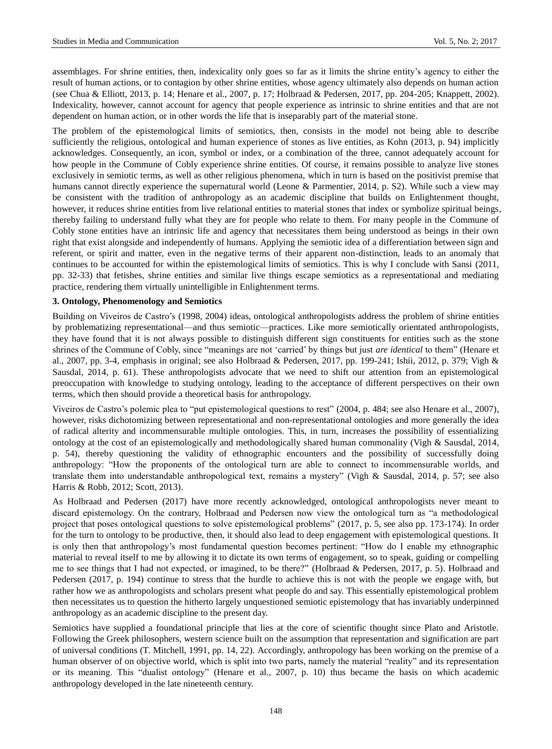assemblages. For shrine entities, then, indexicality only goes so far as it limits the shrine entity's agency to either the result of human actions, or to contagion by other shrine entities, whose agency ultimately also depends on human action (see Chua & Elliott, 2013, p. 14; Henare et al., 2007, p. 17; Holbraad & Pedersen, 2017, pp. 204-205; Knappett, 2002). Indexicality, however, cannot account for agency that people experience as intrinsic to shrine entities and that are not dependent on human action, or in other words the life that is inseparably part of the material stone.

The problem of the epistemological limits of semiotics, then, consists in the model not being able to describe sufficiently the religious, ontological and human experience of stones as live entities, as Kohn (2013, p. 94) implicitly acknowledges. Consequently, an icon, symbol or index, or a combination of the three, cannot adequately account for how people in the Commune of Cobly experience shrine entities. Of course, it remains possible to analyze live stones exclusively in semiotic terms, as well as other religious phenomena, which in turn is based on the positivist premise that humans cannot directly experience the supernatural world (Leone & Parmentier, 2014, p. S2). While such a view may be consistent with the tradition of anthropology as an academic discipline that builds on Enlightenment thought, however, it reduces shrine entities from live relational entities to material stones that index or symbolize spiritual beings, thereby failing to understand fully what they are for people who relate to them. For many people in the Commune of Cobly stone entities have an intrinsic life and agency that necessitates them being understood as beings in their own right that exist alongside and independently of humans. Applying the semiotic idea of a differentiation between sign and referent, or spirit and matter, even in the negative terms of their apparent non-distinction, leads to an anomaly that continues to be accounted for within the epistemological limits of semiotics. This is why I conclude with Sansi (2011, pp. 32-33) that fetishes, shrine entities and similar live things escape semiotics as a representational and mediating practice, rendering them virtually unintelligible in Enlightenment terms.

## **3. Ontology, Phenomenology and Semiotics**

Building on Viveiros de Castro's (1998, 2004) ideas, ontological anthropologists address the problem of shrine entities by problematizing representational—and thus semiotic—practices. Like more semiotically orientated anthropologists, they have found that it is not always possible to distinguish different sign constituents for entities such as the stone shrines of the Commune of Cobly, since "meanings are not 'carried' by things but just *are identical* to them" (Henare et al., 2007, pp. 3-4, emphasis in original; see also Holbraad & Pedersen, 2017, pp. 199-241; Ishii, 2012, p. 379; Vigh & Sausdal, 2014, p. 61). These anthropologists advocate that we need to shift our attention from an epistemological preoccupation with knowledge to studying ontology, leading to the acceptance of different perspectives on their own terms, which then should provide a theoretical basis for anthropology.

Viveiros de Castro's polemic plea to "put epistemological questions to rest" (2004, p. 484; see also Henare et al., 2007), however, risks dichotomizing between representational and non-representational ontologies and more generally the idea of radical alterity and incommensurable multiple ontologies. This, in turn, increases the possibility of essentializing ontology at the cost of an epistemologically and methodologically shared human commonality (Vigh & Sausdal, 2014, p. 54), thereby questioning the validity of ethnographic encounters and the possibility of successfully doing anthropology: "How the proponents of the ontological turn are able to connect to incommensurable worlds, and translate them into understandable anthropological text, remains a mystery" (Vigh & Sausdal, 2014, p. 57; see also Harris & Robb, 2012; Scott, 2013).

As Holbraad and Pedersen (2017) have more recently acknowledged, ontological anthropologists never meant to discard epistemology. On the contrary, Holbraad and Pedersen now view the ontological turn as "a methodological project that poses ontological questions to solve epistemological problems" (2017, p. 5, see also pp. 173-174). In order for the turn to ontology to be productive, then, it should also lead to deep engagement with epistemological questions. It is only then that anthropology's most fundamental question becomes pertinent: "How do I enable my ethnographic material to reveal itself to me by allowing it to dictate its own terms of engagement, so to speak, guiding or compelling me to see things that I had not expected, or imagined, to be there?" (Holbraad & Pedersen, 2017, p. 5). Holbraad and Pedersen (2017, p. 194) continue to stress that the hurdle to achieve this is not with the people we engage with, but rather how we as anthropologists and scholars present what people do and say. This essentially epistemological problem then necessitates us to question the hitherto largely unquestioned semiotic epistemology that has invariably underpinned anthropology as an academic discipline to the present day.

Semiotics have supplied a foundational principle that lies at the core of scientific thought since Plato and Aristotle. Following the Greek philosophers, western science built on the assumption that representation and signification are part of universal conditions (T. Mitchell, 1991, pp. 14, 22). Accordingly, anthropology has been working on the premise of a human observer of on objective world, which is split into two parts, namely the material "reality" and its representation or its meaning. This "dualist ontology" (Henare et al., 2007, p. 10) thus became the basis on which academic anthropology developed in the late nineteenth century.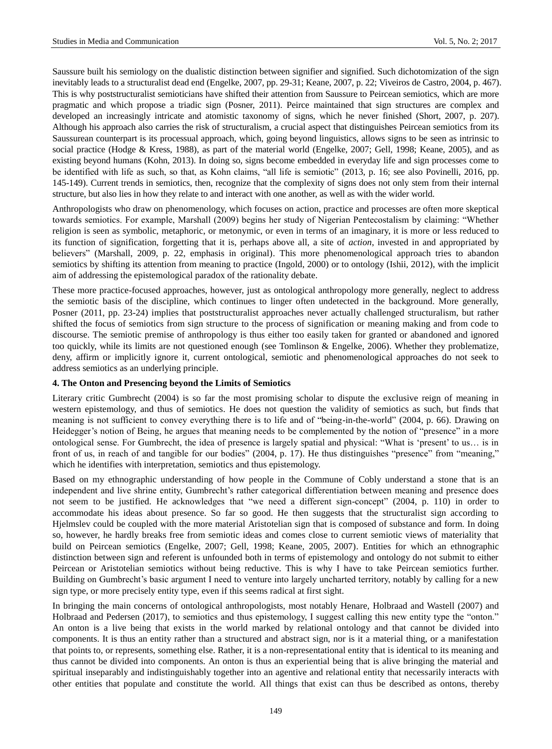Saussure built his semiology on the dualistic distinction between signifier and signified. Such dichotomization of the sign inevitably leads to a structuralist dead end (Engelke, 2007, pp. 29-31; Keane, 2007, p. 22; Viveiros de Castro, 2004, p. 467). This is why poststructuralist semioticians have shifted their attention from Saussure to Peircean semiotics, which are more pragmatic and which propose a triadic sign (Posner, 2011). Peirce maintained that sign structures are complex and developed an increasingly intricate and atomistic taxonomy of signs, which he never finished (Short, 2007, p. 207). Although his approach also carries the risk of structuralism, a crucial aspect that distinguishes Peircean semiotics from its Saussurean counterpart is its processual approach, which, going beyond linguistics, allows signs to be seen as intrinsic to social practice (Hodge & Kress, 1988), as part of the material world (Engelke, 2007; Gell, 1998; Keane, 2005), and as existing beyond humans (Kohn, 2013). In doing so, signs become embedded in everyday life and sign processes come to be identified with life as such, so that, as Kohn claims, "all life is semiotic" (2013, p. 16; see also Povinelli, 2016, pp. 145-149). Current trends in semiotics, then, recognize that the complexity of signs does not only stem from their internal structure, but also lies in how they relate to and interact with one another, as well as with the wider world.

Anthropologists who draw on phenomenology, which focuses on action, practice and processes are often more skeptical towards semiotics. For example, Marshall (2009) begins her study of Nigerian Pentecostalism by claiming: "Whether religion is seen as symbolic, metaphoric, or metonymic, or even in terms of an imaginary, it is more or less reduced to its function of signification, forgetting that it is, perhaps above all, a site of *action*, invested in and appropriated by believers" (Marshall, 2009, p. 22, emphasis in original). This more phenomenological approach tries to abandon semiotics by shifting its attention from meaning to practice (Ingold, 2000) or to ontology (Ishii, 2012), with the implicit aim of addressing the epistemological paradox of the rationality debate.

These more practice-focused approaches, however, just as ontological anthropology more generally, neglect to address the semiotic basis of the discipline, which continues to linger often undetected in the background. More generally, Posner (2011, pp. 23-24) implies that poststructuralist approaches never actually challenged structuralism, but rather shifted the focus of semiotics from sign structure to the process of signification or meaning making and from code to discourse. The semiotic premise of anthropology is thus either too easily taken for granted or abandoned and ignored too quickly, while its limits are not questioned enough (see Tomlinson & Engelke, 2006). Whether they problematize, deny, affirm or implicitly ignore it, current ontological, semiotic and phenomenological approaches do not seek to address semiotics as an underlying principle.

### **4. The Onton and Presencing beyond the Limits of Semiotics**

Literary critic Gumbrecht (2004) is so far the most promising scholar to dispute the exclusive reign of meaning in western epistemology, and thus of semiotics. He does not question the validity of semiotics as such, but finds that meaning is not sufficient to convey everything there is to life and of "being-in-the-world" (2004, p. 66). Drawing on Heidegger's notion of Being, he argues that meaning needs to be complemented by the notion of "presence" in a more ontological sense. For Gumbrecht, the idea of presence is largely spatial and physical: "What is 'present' to us… is in front of us, in reach of and tangible for our bodies" (2004, p. 17). He thus distinguishes "presence" from "meaning," which he identifies with interpretation, semiotics and thus epistemology.

Based on my ethnographic understanding of how people in the Commune of Cobly understand a stone that is an independent and live shrine entity, Gumbrecht's rather categorical differentiation between meaning and presence does not seem to be justified. He acknowledges that "we need a different sign-concept" (2004, p. 110) in order to accommodate his ideas about presence. So far so good. He then suggests that the structuralist sign according to Hjelmslev could be coupled with the more material Aristotelian sign that is composed of substance and form. In doing so, however, he hardly breaks free from semiotic ideas and comes close to current semiotic views of materiality that build on Peircean semiotics (Engelke, 2007; Gell, 1998; Keane, 2005, 2007). Entities for which an ethnographic distinction between sign and referent is unfounded both in terms of epistemology and ontology do not submit to either Peircean or Aristotelian semiotics without being reductive. This is why I have to take Peircean semiotics further. Building on Gumbrecht's basic argument I need to venture into largely uncharted territory, notably by calling for a new sign type, or more precisely entity type, even if this seems radical at first sight.

In bringing the main concerns of ontological anthropologists, most notably Henare, Holbraad and Wastell (2007) and Holbraad and Pedersen (2017), to semiotics and thus epistemology, I suggest calling this new entity type the "onton." An onton is a live being that exists in the world marked by relational ontology and that cannot be divided into components. It is thus an entity rather than a structured and abstract sign, nor is it a material thing, or a manifestation that points to, or represents, something else. Rather, it is a non-representational entity that is identical to its meaning and thus cannot be divided into components. An onton is thus an experiential being that is alive bringing the material and spiritual inseparably and indistinguishably together into an agentive and relational entity that necessarily interacts with other entities that populate and constitute the world. All things that exist can thus be described as ontons, thereby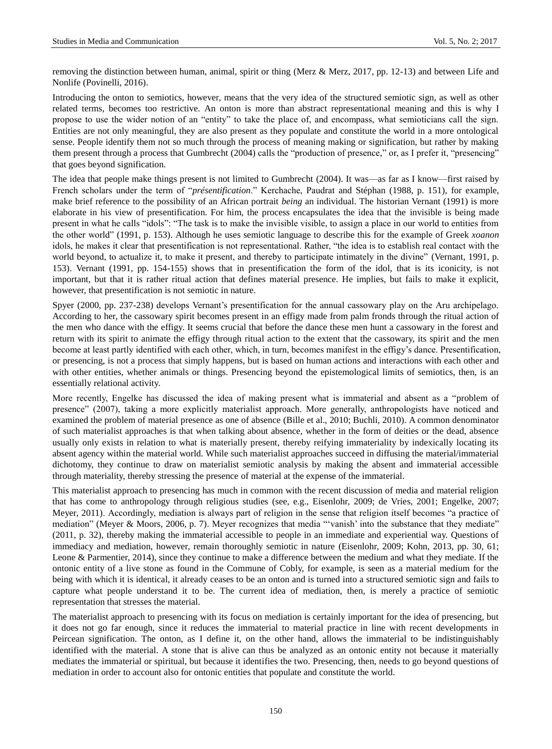removing the distinction between human, animal, spirit or thing (Merz & Merz, 2017, pp. 12-13) and between Life and Nonlife (Povinelli, 2016).

Introducing the onton to semiotics, however, means that the very idea of the structured semiotic sign, as well as other related terms, becomes too restrictive. An onton is more than abstract representational meaning and this is why I propose to use the wider notion of an "entity" to take the place of, and encompass, what semioticians call the sign. Entities are not only meaningful, they are also present as they populate and constitute the world in a more ontological sense. People identify them not so much through the process of meaning making or signification, but rather by making them present through a process that Gumbrecht (2004) calls the "production of presence," or, as I prefer it, "presencing" that goes beyond signification.

The idea that people make things present is not limited to Gumbrecht (2004). It was—as far as I know—first raised by French scholars under the term of "*présentification*." Kerchache, Paudrat and Stéphan (1988, p. 151), for example, make brief reference to the possibility of an African portrait *being* an individual. The historian Vernant (1991) is more elaborate in his view of presentification. For him, the process encapsulates the idea that the invisible is being made present in what he calls "idols": "The task is to make the invisible visible, to assign a place in our world to entities from the other world" (1991, p. 153). Although he uses semiotic language to describe this for the example of Greek *xoanon* idols, he makes it clear that presentification is not representational. Rather, "the idea is to establish real contact with the world beyond, to actualize it, to make it present, and thereby to participate intimately in the divine" (Vernant, 1991, p. 153). Vernant (1991, pp. 154-155) shows that in presentification the form of the idol, that is its iconicity, is not important, but that it is rather ritual action that defines material presence. He implies, but fails to make it explicit, however, that presentification is not semiotic in nature.

Spyer (2000, pp. 237-238) develops Vernant's presentification for the annual cassowary play on the Aru archipelago. According to her, the cassowary spirit becomes present in an effigy made from palm fronds through the ritual action of the men who dance with the effigy. It seems crucial that before the dance these men hunt a cassowary in the forest and return with its spirit to animate the effigy through ritual action to the extent that the cassowary, its spirit and the men become at least partly identified with each other, which, in turn, becomes manifest in the effigy's dance. Presentification, or presencing, is not a process that simply happens, but is based on human actions and interactions with each other and with other entities, whether animals or things. Presencing beyond the epistemological limits of semiotics, then, is an essentially relational activity.

More recently, Engelke has discussed the idea of making present what is immaterial and absent as a "problem of presence" (2007), taking a more explicitly materialist approach. More generally, anthropologists have noticed and examined the problem of material presence as one of absence (Bille et al., 2010; Buchli, 2010). A common denominator of such materialist approaches is that when talking about absence, whether in the form of deities or the dead, absence usually only exists in relation to what is materially present, thereby reifying immateriality by indexically locating its absent agency within the material world. While such materialist approaches succeed in diffusing the material/immaterial dichotomy, they continue to draw on materialist semiotic analysis by making the absent and immaterial accessible through materiality, thereby stressing the presence of material at the expense of the immaterial.

This materialist approach to presencing has much in common with the recent discussion of media and material religion that has come to anthropology through religious studies (see, e.g., Eisenlohr, 2009; de Vries, 2001; Engelke, 2007; Meyer, 2011). Accordingly, mediation is always part of religion in the sense that religion itself becomes "a practice of mediation" (Meyer & Moors, 2006, p. 7). Meyer recognizes that media "'vanish' into the substance that they mediate" (2011, p. 32), thereby making the immaterial accessible to people in an immediate and experiential way. Questions of immediacy and mediation, however, remain thoroughly semiotic in nature (Eisenlohr, 2009; Kohn, 2013, pp. 30, 61; Leone & Parmentier, 2014), since they continue to make a difference between the medium and what they mediate. If the ontonic entity of a live stone as found in the Commune of Cobly, for example, is seen as a material medium for the being with which it is identical, it already ceases to be an onton and is turned into a structured semiotic sign and fails to capture what people understand it to be. The current idea of mediation, then, is merely a practice of semiotic representation that stresses the material.

The materialist approach to presencing with its focus on mediation is certainly important for the idea of presencing, but it does not go far enough, since it reduces the immaterial to material practice in line with recent developments in Peircean signification. The onton, as I define it, on the other hand, allows the immaterial to be indistinguishably identified with the material. A stone that is alive can thus be analyzed as an ontonic entity not because it materially mediates the immaterial or spiritual, but because it identifies the two. Presencing, then, needs to go beyond questions of mediation in order to account also for ontonic entities that populate and constitute the world.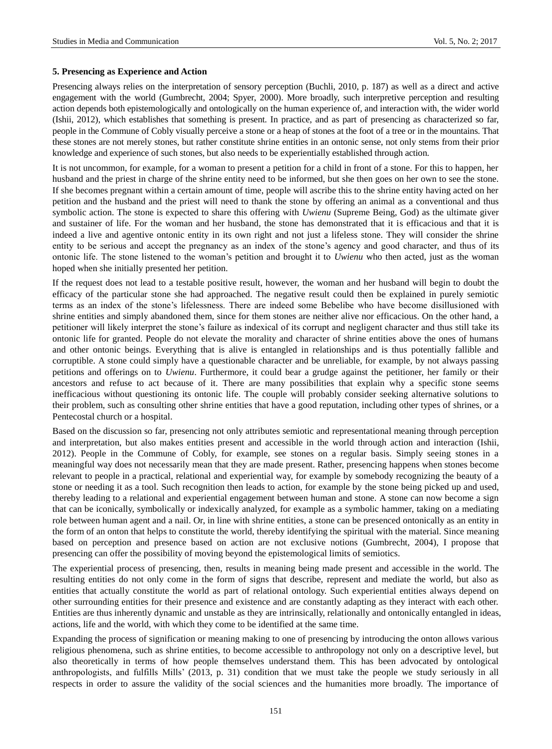### **5. Presencing as Experience and Action**

Presencing always relies on the interpretation of sensory perception (Buchli, 2010, p. 187) as well as a direct and active engagement with the world (Gumbrecht, 2004; Spyer, 2000). More broadly, such interpretive perception and resulting action depends both epistemologically and ontologically on the human experience of, and interaction with, the wider world (Ishii, 2012), which establishes that something is present. In practice, and as part of presencing as characterized so far, people in the Commune of Cobly visually perceive a stone or a heap of stones at the foot of a tree or in the mountains. That these stones are not merely stones, but rather constitute shrine entities in an ontonic sense, not only stems from their prior knowledge and experience of such stones, but also needs to be experientially established through action.

It is not uncommon, for example, for a woman to present a petition for a child in front of a stone. For this to happen, her husband and the priest in charge of the shrine entity need to be informed, but she then goes on her own to see the stone. If she becomes pregnant within a certain amount of time, people will ascribe this to the shrine entity having acted on her petition and the husband and the priest will need to thank the stone by offering an animal as a conventional and thus symbolic action. The stone is expected to share this offering with *Uwienu* (Supreme Being, God) as the ultimate giver and sustainer of life. For the woman and her husband, the stone has demonstrated that it is efficacious and that it is indeed a live and agentive ontonic entity in its own right and not just a lifeless stone. They will consider the shrine entity to be serious and accept the pregnancy as an index of the stone's agency and good character, and thus of its ontonic life. The stone listened to the woman's petition and brought it to *Uwienu* who then acted, just as the woman hoped when she initially presented her petition.

If the request does not lead to a testable positive result, however, the woman and her husband will begin to doubt the efficacy of the particular stone she had approached. The negative result could then be explained in purely semiotic terms as an index of the stone's lifelessness. There are indeed some Bebelibe who have become disillusioned with shrine entities and simply abandoned them, since for them stones are neither alive nor efficacious. On the other hand, a petitioner will likely interpret the stone's failure as indexical of its corrupt and negligent character and thus still take its ontonic life for granted. People do not elevate the morality and character of shrine entities above the ones of humans and other ontonic beings. Everything that is alive is entangled in relationships and is thus potentially fallible and corruptible. A stone could simply have a questionable character and be unreliable, for example, by not always passing petitions and offerings on to *Uwienu*. Furthermore, it could bear a grudge against the petitioner, her family or their ancestors and refuse to act because of it. There are many possibilities that explain why a specific stone seems inefficacious without questioning its ontonic life. The couple will probably consider seeking alternative solutions to their problem, such as consulting other shrine entities that have a good reputation, including other types of shrines, or a Pentecostal church or a hospital.

Based on the discussion so far, presencing not only attributes semiotic and representational meaning through perception and interpretation, but also makes entities present and accessible in the world through action and interaction (Ishii, 2012). People in the Commune of Cobly, for example, see stones on a regular basis. Simply seeing stones in a meaningful way does not necessarily mean that they are made present. Rather, presencing happens when stones become relevant to people in a practical, relational and experiential way, for example by somebody recognizing the beauty of a stone or needing it as a tool. Such recognition then leads to action, for example by the stone being picked up and used, thereby leading to a relational and experiential engagement between human and stone. A stone can now become a sign that can be iconically, symbolically or indexically analyzed, for example as a symbolic hammer, taking on a mediating role between human agent and a nail. Or, in line with shrine entities, a stone can be presenced ontonically as an entity in the form of an onton that helps to constitute the world, thereby identifying the spiritual with the material. Since meaning based on perception and presence based on action are not exclusive notions (Gumbrecht, 2004), I propose that presencing can offer the possibility of moving beyond the epistemological limits of semiotics.

The experiential process of presencing, then, results in meaning being made present and accessible in the world. The resulting entities do not only come in the form of signs that describe, represent and mediate the world, but also as entities that actually constitute the world as part of relational ontology. Such experiential entities always depend on other surrounding entities for their presence and existence and are constantly adapting as they interact with each other. Entities are thus inherently dynamic and unstable as they are intrinsically, relationally and ontonically entangled in ideas, actions, life and the world, with which they come to be identified at the same time.

Expanding the process of signification or meaning making to one of presencing by introducing the onton allows various religious phenomena, such as shrine entities, to become accessible to anthropology not only on a descriptive level, but also theoretically in terms of how people themselves understand them. This has been advocated by ontological anthropologists, and fulfills Mills' (2013, p. 31) condition that we must take the people we study seriously in all respects in order to assure the validity of the social sciences and the humanities more broadly. The importance of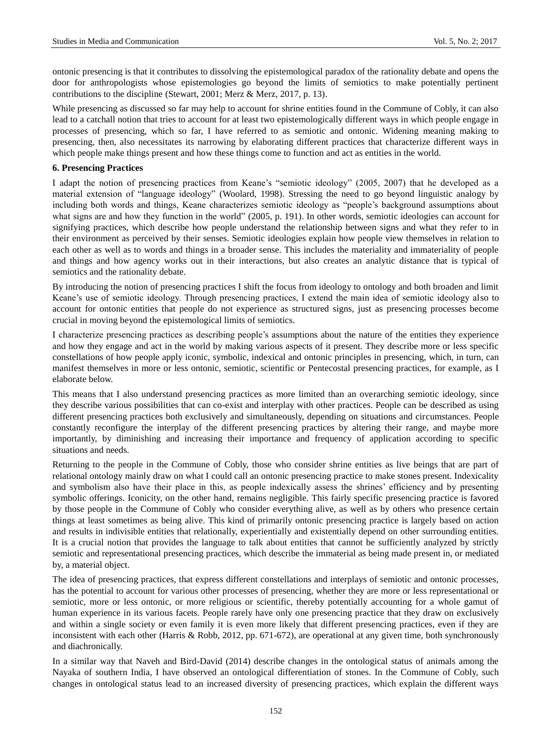ontonic presencing is that it contributes to dissolving the epistemological paradox of the rationality debate and opens the door for anthropologists whose epistemologies go beyond the limits of semiotics to make potentially pertinent contributions to the discipline (Stewart, 2001; Merz & Merz, 2017, p. 13).

While presencing as discussed so far may help to account for shrine entities found in the Commune of Cobly, it can also lead to a catchall notion that tries to account for at least two epistemologically different ways in which people engage in processes of presencing, which so far, I have referred to as semiotic and ontonic. Widening meaning making to presencing, then, also necessitates its narrowing by elaborating different practices that characterize different ways in which people make things present and how these things come to function and act as entities in the world.

## **6. Presencing Practices**

I adapt the notion of presencing practices from Keane's "semiotic ideology" (2005, 2007) that he developed as a material extension of "language ideology" (Woolard, 1998). Stressing the need to go beyond linguistic analogy by including both words and things, Keane characterizes semiotic ideology as "people's background assumptions about what signs are and how they function in the world" (2005, p. 191). In other words, semiotic ideologies can account for signifying practices, which describe how people understand the relationship between signs and what they refer to in their environment as perceived by their senses. Semiotic ideologies explain how people view themselves in relation to each other as well as to words and things in a broader sense. This includes the materiality and immateriality of people and things and how agency works out in their interactions, but also creates an analytic distance that is typical of semiotics and the rationality debate.

By introducing the notion of presencing practices I shift the focus from ideology to ontology and both broaden and limit Keane's use of semiotic ideology. Through presencing practices, I extend the main idea of semiotic ideology also to account for ontonic entities that people do not experience as structured signs, just as presencing processes become crucial in moving beyond the epistemological limits of semiotics.

I characterize presencing practices as describing people's assumptions about the nature of the entities they experience and how they engage and act in the world by making various aspects of it present. They describe more or less specific constellations of how people apply iconic, symbolic, indexical and ontonic principles in presencing, which, in turn, can manifest themselves in more or less ontonic, semiotic, scientific or Pentecostal presencing practices, for example, as I elaborate below.

This means that I also understand presencing practices as more limited than an overarching semiotic ideology, since they describe various possibilities that can co-exist and interplay with other practices. People can be described as using different presencing practices both exclusively and simultaneously, depending on situations and circumstances. People constantly reconfigure the interplay of the different presencing practices by altering their range, and maybe more importantly, by diminishing and increasing their importance and frequency of application according to specific situations and needs.

Returning to the people in the Commune of Cobly, those who consider shrine entities as live beings that are part of relational ontology mainly draw on what I could call an ontonic presencing practice to make stones present. Indexicality and symbolism also have their place in this, as people indexically assess the shrines' efficiency and by presenting symbolic offerings. Iconicity, on the other hand, remains negligible. This fairly specific presencing practice is favored by those people in the Commune of Cobly who consider everything alive, as well as by others who presence certain things at least sometimes as being alive. This kind of primarily ontonic presencing practice is largely based on action and results in indivisible entities that relationally, experientially and existentially depend on other surrounding entities. It is a crucial notion that provides the language to talk about entities that cannot be sufficiently analyzed by strictly semiotic and representational presencing practices, which describe the immaterial as being made present in, or mediated by, a material object.

The idea of presencing practices, that express different constellations and interplays of semiotic and ontonic processes, has the potential to account for various other processes of presencing, whether they are more or less representational or semiotic, more or less ontonic, or more religious or scientific, thereby potentially accounting for a whole gamut of human experience in its various facets. People rarely have only one presencing practice that they draw on exclusively and within a single society or even family it is even more likely that different presencing practices, even if they are inconsistent with each other (Harris & Robb, 2012, pp. 671-672), are operational at any given time, both synchronously and diachronically.

In a similar way that Naveh and Bird-David (2014) describe changes in the ontological status of animals among the Nayaka of southern India, I have observed an ontological differentiation of stones. In the Commune of Cobly, such changes in ontological status lead to an increased diversity of presencing practices, which explain the different ways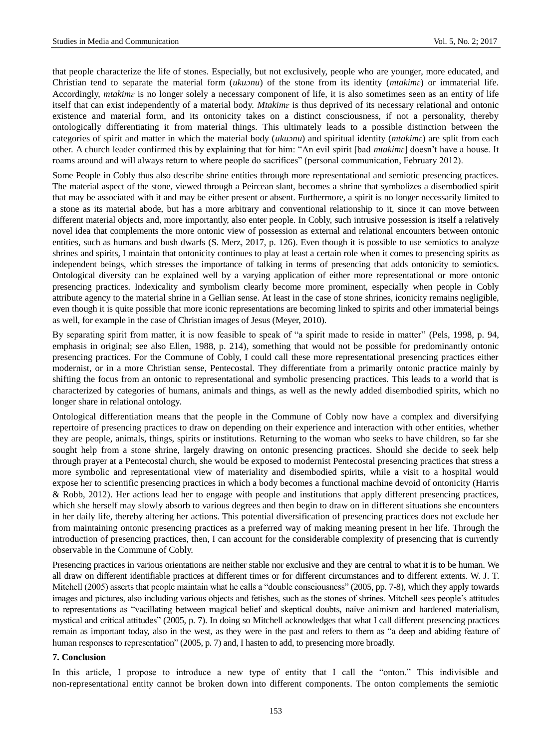that people characterize the life of stones. Especially, but not exclusively, people who are younger, more educated, and Christian tend to separate the material form (*ukuɔnu*) of the stone from its identity (*mtakimɛ*) or immaterial life. Accordingly, *mtakime* is no longer solely a necessary component of life, it is also sometimes seen as an entity of life itself that can exist independently of a material body. *Mtakimɛ* is thus deprived of its necessary relational and ontonic existence and material form, and its ontonicity takes on a distinct consciousness, if not a personality, thereby ontologically differentiating it from material things. This ultimately leads to a possible distinction between the categories of spirit and matter in which the material body (*ukuɔnu*) and spiritual identity (*mtakimɛ*) are split from each other. A church leader confirmed this by explaining that for him: "An evil spirit [bad *mtakimɛ*] doesn't have a house. It roams around and will always return to where people do sacrifices" (personal communication, February 2012).

Some People in Cobly thus also describe shrine entities through more representational and semiotic presencing practices. The material aspect of the stone, viewed through a Peircean slant, becomes a shrine that symbolizes a disembodied spirit that may be associated with it and may be either present or absent. Furthermore, a spirit is no longer necessarily limited to a stone as its material abode, but has a more arbitrary and conventional relationship to it, since it can move between different material objects and, more importantly, also enter people. In Cobly, such intrusive possession is itself a relatively novel idea that complements the more ontonic view of possession as external and relational encounters between ontonic entities, such as humans and bush dwarfs (S. Merz, 2017, p. 126). Even though it is possible to use semiotics to analyze shrines and spirits, I maintain that ontonicity continues to play at least a certain role when it comes to presencing spirits as independent beings, which stresses the importance of talking in terms of presencing that adds ontonicity to semiotics. Ontological diversity can be explained well by a varying application of either more representational or more ontonic presencing practices. Indexicality and symbolism clearly become more prominent, especially when people in Cobly attribute agency to the material shrine in a Gellian sense. At least in the case of stone shrines, iconicity remains negligible, even though it is quite possible that more iconic representations are becoming linked to spirits and other immaterial beings as well, for example in the case of Christian images of Jesus (Meyer, 2010).

By separating spirit from matter, it is now feasible to speak of "a spirit made to reside in matter" (Pels, 1998, p. 94, emphasis in original; see also Ellen, 1988, p. 214), something that would not be possible for predominantly ontonic presencing practices. For the Commune of Cobly, I could call these more representational presencing practices either modernist, or in a more Christian sense, Pentecostal. They differentiate from a primarily ontonic practice mainly by shifting the focus from an ontonic to representational and symbolic presencing practices. This leads to a world that is characterized by categories of humans, animals and things, as well as the newly added disembodied spirits, which no longer share in relational ontology.

Ontological differentiation means that the people in the Commune of Cobly now have a complex and diversifying repertoire of presencing practices to draw on depending on their experience and interaction with other entities, whether they are people, animals, things, spirits or institutions. Returning to the woman who seeks to have children, so far she sought help from a stone shrine, largely drawing on ontonic presencing practices. Should she decide to seek help through prayer at a Pentecostal church, she would be exposed to modernist Pentecostal presencing practices that stress a more symbolic and representational view of materiality and disembodied spirits, while a visit to a hospital would expose her to scientific presencing practices in which a body becomes a functional machine devoid of ontonicity (Harris & Robb, 2012). Her actions lead her to engage with people and institutions that apply different presencing practices, which she herself may slowly absorb to various degrees and then begin to draw on in different situations she encounters in her daily life, thereby altering her actions. This potential diversification of presencing practices does not exclude her from maintaining ontonic presencing practices as a preferred way of making meaning present in her life. Through the introduction of presencing practices, then, I can account for the considerable complexity of presencing that is currently observable in the Commune of Cobly.

Presencing practices in various orientations are neither stable nor exclusive and they are central to what it is to be human. We all draw on different identifiable practices at different times or for different circumstances and to different extents. W. J. T. Mitchell (2005) asserts that people maintain what he calls a "double consciousness" (2005, pp. 7-8), which they apply towards images and pictures, also including various objects and fetishes, such as the stones of shrines. Mitchell sees people's attitudes to representations as "vacillating between magical belief and skeptical doubts, na we animism and hardened materialism, mystical and critical attitudes" (2005, p. 7). In doing so Mitchell acknowledges that what I call different presencing practices remain as important today, also in the west, as they were in the past and refers to them as "a deep and abiding feature of human responses to representation" (2005, p. 7) and, I hasten to add, to presencing more broadly.

### **7. Conclusion**

In this article, I propose to introduce a new type of entity that I call the "onton." This indivisible and non-representational entity cannot be broken down into different components. The onton complements the semiotic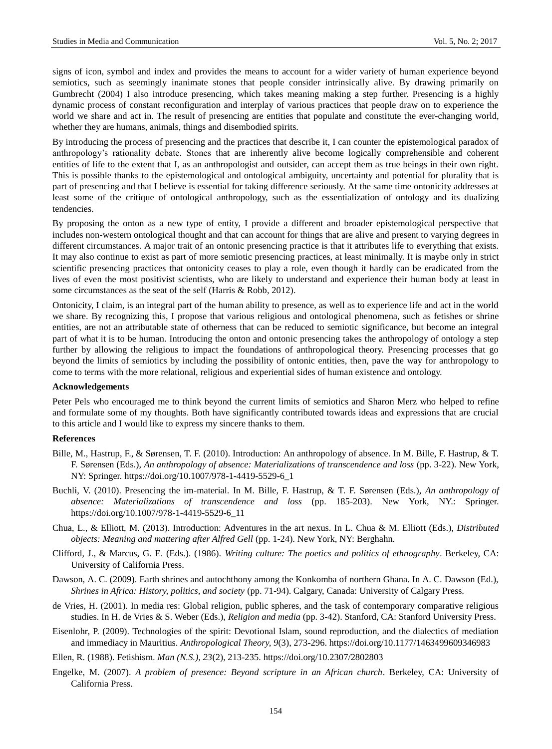signs of icon, symbol and index and provides the means to account for a wider variety of human experience beyond semiotics, such as seemingly inanimate stones that people consider intrinsically alive. By drawing primarily on Gumbrecht (2004) I also introduce presencing, which takes meaning making a step further. Presencing is a highly dynamic process of constant reconfiguration and interplay of various practices that people draw on to experience the world we share and act in. The result of presencing are entities that populate and constitute the ever-changing world, whether they are humans, animals, things and disembodied spirits.

By introducing the process of presencing and the practices that describe it, I can counter the epistemological paradox of anthropology's rationality debate. Stones that are inherently alive become logically comprehensible and coherent entities of life to the extent that I, as an anthropologist and outsider, can accept them as true beings in their own right. This is possible thanks to the epistemological and ontological ambiguity, uncertainty and potential for plurality that is part of presencing and that I believe is essential for taking difference seriously. At the same time ontonicity addresses at least some of the critique of ontological anthropology, such as the essentialization of ontology and its dualizing tendencies.

By proposing the onton as a new type of entity, I provide a different and broader epistemological perspective that includes non-western ontological thought and that can account for things that are alive and present to varying degrees in different circumstances. A major trait of an ontonic presencing practice is that it attributes life to everything that exists. It may also continue to exist as part of more semiotic presencing practices, at least minimally. It is maybe only in strict scientific presencing practices that ontonicity ceases to play a role, even though it hardly can be eradicated from the lives of even the most positivist scientists, who are likely to understand and experience their human body at least in some circumstances as the seat of the self (Harris & Robb, 2012).

Ontonicity, I claim, is an integral part of the human ability to presence, as well as to experience life and act in the world we share. By recognizing this, I propose that various religious and ontological phenomena, such as fetishes or shrine entities, are not an attributable state of otherness that can be reduced to semiotic significance, but become an integral part of what it is to be human. Introducing the onton and ontonic presencing takes the anthropology of ontology a step further by allowing the religious to impact the foundations of anthropological theory. Presencing processes that go beyond the limits of semiotics by including the possibility of ontonic entities, then, pave the way for anthropology to come to terms with the more relational, religious and experiential sides of human existence and ontology.

### **Acknowledgements**

Peter Pels who encouraged me to think beyond the current limits of semiotics and Sharon Merz who helped to refine and formulate some of my thoughts. Both have significantly contributed towards ideas and expressions that are crucial to this article and I would like to express my sincere thanks to them.

#### **References**

- Bille, M., Hastrup, F., & Sørensen, T. F. (2010). Introduction: An anthropology of absence. In M. Bille, F. Hastrup, & T. F. Sørensen (Eds.), *An anthropology of absence: Materializations of transcendence and loss* (pp. 3-22). New York, NY: Springer. [https://doi.org/10.1007/978-1-4419-5529-6\\_1](https://doi.org/10.1007/978-1-4419-5529-6_1)
- Buchli, V. (2010). Presencing the im-material. In M. Bille, F. Hastrup, & T. F. Sørensen (Eds.), *An anthropology of absence: Materializations of transcendence and loss* (pp. 185-203). New York, NY.: Springer. [https://doi.org/10.1007/978-1-4419-5529-6\\_11](https://doi.org/10.1007/978-1-4419-5529-6_11)
- Chua, L., & Elliott, M. (2013). Introduction: Adventures in the art nexus. In L. Chua & M. Elliott (Eds.), *Distributed objects: Meaning and mattering after Alfred Gell* (pp. 1-24). New York, NY: Berghahn.
- Clifford, J., & Marcus, G. E. (Eds.). (1986). *Writing culture: The poetics and politics of ethnography*. Berkeley, CA: University of California Press.
- Dawson, A. C. (2009). Earth shrines and autochthony among the Konkomba of northern Ghana. In A. C. Dawson (Ed.), *Shrines in Africa: History, politics, and society* (pp. 71-94). Calgary, Canada: University of Calgary Press.
- de Vries, H. (2001). In media res: Global religion, public spheres, and the task of contemporary comparative religious studies. In H. de Vries & S. Weber (Eds.), *Religion and media* (pp. 3-42). Stanford, CA: Stanford University Press.
- Eisenlohr, P. (2009). Technologies of the spirit: Devotional Islam, sound reproduction, and the dialectics of mediation and immediacy in Mauritius. *Anthropological Theory, 9*(3), 273-296.<https://doi.org/10.1177/1463499609346983>
- Ellen, R. (1988). Fetishism. *Man (N.S.), 23*(2), 213-235.<https://doi.org/10.2307/2802803>
- Engelke, M. (2007). *A problem of presence: Beyond scripture in an African church*. Berkeley, CA: University of California Press.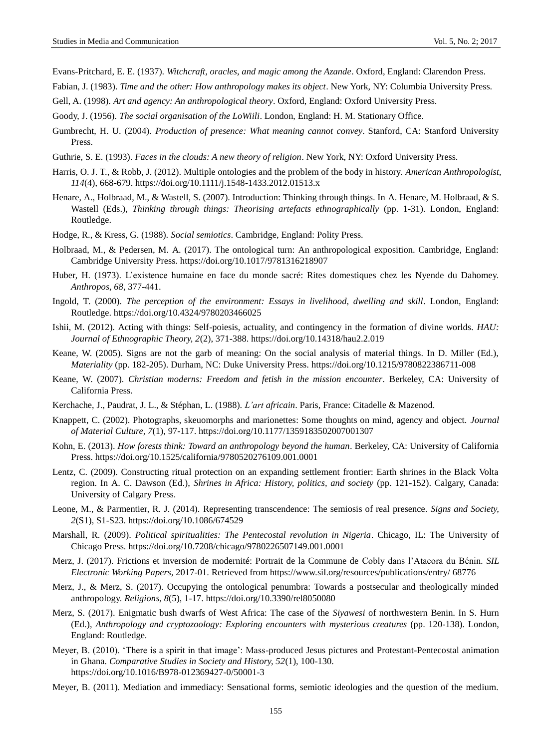Evans-Pritchard, E. E. (1937). *Witchcraft, oracles, and magic among the Azande*. Oxford, England: Clarendon Press.

Fabian, J. (1983). *Time and the other: How anthropology makes its object*. New York, NY: Columbia University Press.

Gell, A. (1998). *Art and agency: An anthropological theory*. Oxford, England: Oxford University Press.

Goody, J. (1956). *The social organisation of the LoWiili*. London, England: H. M. Stationary Office.

- Gumbrecht, H. U. (2004). *Production of presence: What meaning cannot convey*. Stanford, CA: Stanford University Press.
- Guthrie, S. E. (1993). *Faces in the clouds: A new theory of religion*. New York, NY: Oxford University Press.
- Harris, O. J. T., & Robb, J. (2012). Multiple ontologies and the problem of the body in history. *American Anthropologist, 114*(4), 668-679.<https://doi.org/10.1111/j.1548-1433.2012.01513.x>
- Henare, A., Holbraad, M., & Wastell, S. (2007). Introduction: Thinking through things. In A. Henare, M. Holbraad, & S. Wastell (Eds.), *Thinking through things: Theorising artefacts ethnographically* (pp. 1-31). London, England: Routledge.
- Hodge, R., & Kress, G. (1988). *Social semiotics*. Cambridge, England: Polity Press.
- Holbraad, M., & Pedersen, M. A. (2017). The ontological turn: An anthropological exposition. Cambridge, England: Cambridge University Press.<https://doi.org/10.1017/9781316218907>
- Huber, H. (1973). L'existence humaine en face du monde sacré Rites domestiques chez les Nyende du Dahomey. *Anthropos, 68*, 377-441.
- Ingold, T. (2000). *The perception of the environment: Essays in livelihood, dwelling and skill*. London, England: Routledge.<https://doi.org/10.4324/9780203466025>
- Ishii, M. (2012). Acting with things: Self-poiesis, actuality, and contingency in the formation of divine worlds. *HAU: Journal of Ethnographic Theory, 2*(2), 371-388. https://doi.org/10.14318/hau2.2.019
- Keane, W. (2005). Signs are not the garb of meaning: On the social analysis of material things. In D. Miller (Ed.), *Materiality* (pp. 182-205). Durham, NC: Duke University Press.<https://doi.org/10.1215/9780822386711-008>
- Keane, W. (2007). *Christian moderns: Freedom and fetish in the mission encounter*. Berkeley, CA: University of California Press.
- Kerchache, J., Paudrat, J. L., & Stéphan, L. (1988). *L'art africain*. Paris, France: Citadelle & Mazenod.
- Knappett, C. (2002). Photographs, skeuomorphs and marionettes: Some thoughts on mind, agency and object. *Journal of Material Culture, 7*(1), 97-117. https://doi.org/10.1177/1359183502007001307
- Kohn, E. (2013). *How forests think: Toward an anthropology beyond the human*. Berkeley, CA: University of California Press.<https://doi.org/10.1525/california/9780520276109.001.0001>
- Lentz, C. (2009). Constructing ritual protection on an expanding settlement frontier: Earth shrines in the Black Volta region. In A. C. Dawson (Ed.), *Shrines in Africa: History, politics, and society* (pp. 121-152). Calgary, Canada: University of Calgary Press.
- Leone, M., & Parmentier, R. J. (2014). Representing transcendence: The semiosis of real presence. *Signs and Society, 2*(S1), S1-S23. https://doi.org/10.1086/674529
- Marshall, R. (2009). *Political spiritualities: The Pentecostal revolution in Nigeria*. Chicago, IL: The University of Chicago Press. <https://doi.org/10.7208/chicago/9780226507149.001.0001>
- Merz, J. (2017). Frictions et inversion de modernité: Portrait de la Commune de Cobly dans l'Atacora du Bénin. *SIL Electronic Working Papers*, 2017-01. Retrieved from https://www.sil.org/resources/publications/entry/ 68776
- Merz, J., & Merz, S. (2017). Occupying the ontological penumbra: Towards a postsecular and theologically minded anthropology. *Religions, 8*(5), 1-17. https://doi.org/10.3390/rel8050080
- Merz, S. (2017). Enigmatic bush dwarfs of West Africa: The case of the *Siyawesi* of northwestern Benin. In S. Hurn (Ed.), *Anthropology and cryptozoology: Exploring encounters with mysterious creatures* (pp. 120-138). London, England: Routledge.
- Meyer, B. (2010). 'There is a spirit in that image': Mass-produced Jesus pictures and Protestant-Pentecostal animation in Ghana. *Comparative Studies in Society and History, 52*(1), 100-130. <https://doi.org/10.1016/B978-012369427-0/50001-3>
- Meyer, B. (2011). Mediation and immediacy: Sensational forms, semiotic ideologies and the question of the medium.